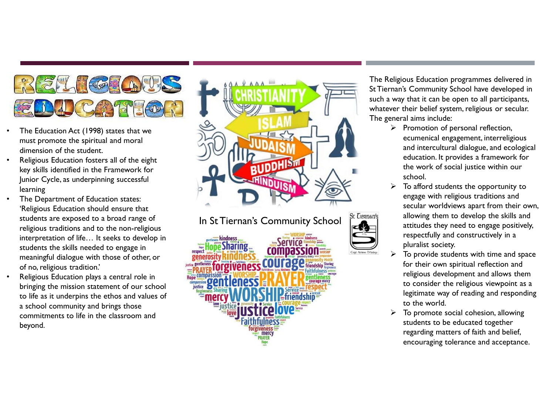

- The Education Act (1998) states that we must promote the spiritual and moral dimension of the student.
- Religious Education fosters all of the eight key skills identified in the Framework for Junior Cycle, as underpinning successful learning
- The Department of Education states: 'Religious Education should ensure that students are exposed to a broad range of religious traditions and to the non-religious interpretation of life… It seeks to develop in students the skills needed to engage in meaningful dialogue with those of other, or of no, religious tradition.'
- Religious Education plays a central role in bringing the mission statement of our school to life as it underpins the ethos and values of a school community and brings those commitments to life in the classroom and beyond.



## In St Tiernan's Community School St Leenan's

The Religious Education programmes delivered in St Tiernan's Community School have developed in such a way that it can be open to all participants, whatever their belief system, religious or secular. The general aims include:

- $\triangleright$  Promotion of personal reflection, ecumenical engagement, interreligious and intercultural dialogue, and ecological education. It provides a framework for the work of social justice within our school.
- To afford students the opportunity to engage with religious traditions and secular worldviews apart from their own, allowing them to develop the skills and attitudes they need to engage positively, respectfully and constructively in a pluralist society.
- $\triangleright$  To provide students with time and space for their own spiritual reflection and religious development and allows them to consider the religious viewpoint as a legitimate way of reading and responding to the world.
- To promote social cohesion, allowing students to be educated together regarding matters of faith and belief, encouraging tolerance and acceptance.